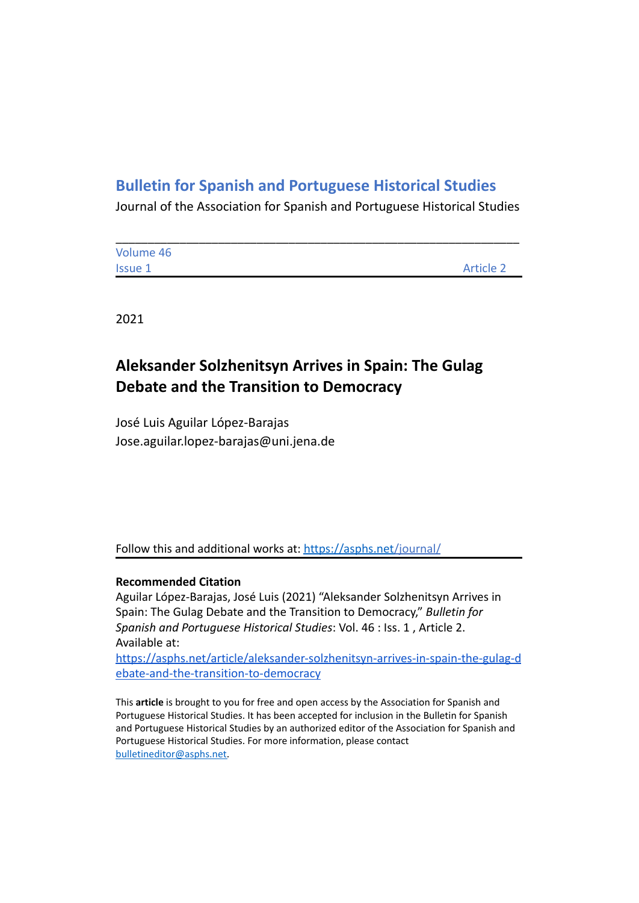# **Bulletin for Spanish and Portuguese Historical Studies**

Journal of the Association for Spanish and Portuguese Historical Studies

| Volume 46      |                  |
|----------------|------------------|
| <b>Issue 1</b> | <b>Article 2</b> |

2021

# **Aleksander Solzhenitsyn Arrives in Spain: The Gulag Debate and the Transition to Democracy**

José Luis Aguilar López-Barajas Jose.aguilar.lopez-barajas@uni.jena.de

Follow this and additional works at: <https://asphs.net/journal/>

## **Recommended Citation**

Aguilar López-Barajas, José Luis (2021) "Aleksander Solzhenitsyn Arrives in Spain: The Gulag Debate and the Transition to Democracy," *Bulletin for Spanish and Portuguese Historical Studies*: Vol. 46 : Iss. 1 , Article 2. Available at:

[https://asphs.net/article/aleksander-solzhenitsyn-arrives-in-spain-the-gulag-d](https://asphs.net/article/aleksander-solzhenitsyn-arrives-in-spain-the-gulag-debate-and-the-transition-to-democracy) [ebate-and-the-transition-to-democracy](https://asphs.net/article/aleksander-solzhenitsyn-arrives-in-spain-the-gulag-debate-and-the-transition-to-democracy)

This **article** is brought to you for free and open access by the Association for Spanish and Portuguese Historical Studies. It has been accepted for inclusion in the Bulletin for Spanish and Portuguese Historical Studies by an authorized editor of the Association for Spanish and Portuguese Historical Studies. For more information, please contact [bulletineditor@asphs.net.](mailto:bulletineditor@asphs.net)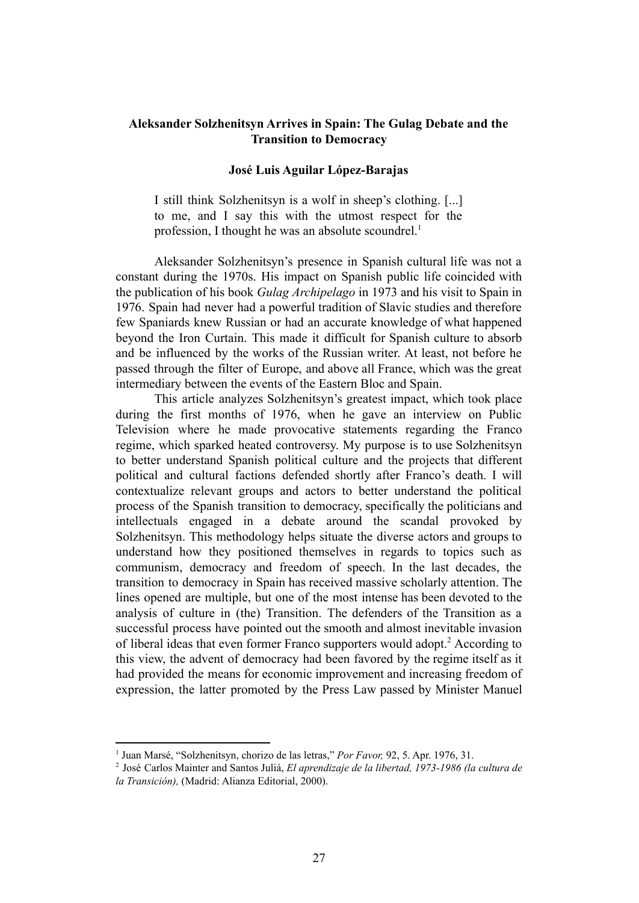### **Aleksander Solzhenitsyn Arrives in Spain: The Gulag Debate and the Transition to Democracy**

### **José Luis Aguilar López-Barajas**

I still think Solzhenitsyn is a wolf in sheep's clothing. [...] to me, and I say this with the utmost respect for the profession. I thought he was an absolute scoundrel.<sup>1</sup>

Aleksander Solzhenitsyn's presence in Spanish cultural life was not a constant during the 1970s. His impact on Spanish public life coincided with the publication of his book *Gulag Archipelago* in 1973 and his visit to Spain in 1976. Spain had never had a powerful tradition of Slavic studies and therefore few Spaniards knew Russian or had an accurate knowledge of what happened beyond the Iron Curtain. This made it difficult for Spanish culture to absorb and be influenced by the works of the Russian writer. At least, not before he passed through the filter of Europe, and above all France, which was the great intermediary between the events of the Eastern Bloc and Spain.

This article analyzes Solzhenitsyn's greatest impact, which took place during the first months of 1976, when he gave an interview on Public Television where he made provocative statements regarding the Franco regime, which sparked heated controversy. My purpose is to use Solzhenitsyn to better understand Spanish political culture and the projects that different political and cultural factions defended shortly after Franco's death. I will contextualize relevant groups and actors to better understand the political process of the Spanish transition to democracy, specifically the politicians and intellectuals engaged in a debate around the scandal provoked by Solzhenitsyn. This methodology helps situate the diverse actors and groups to understand how they positioned themselves in regards to topics such as communism, democracy and freedom of speech. In the last decades, the transition to democracy in Spain has received massive scholarly attention. The lines opened are multiple, but one of the most intense has been devoted to the analysis of culture in (the) Transition. The defenders of the Transition as a successful process have pointed out the smooth and almost inevitable invasion of liberal ideas that even former Franco supporters would adopt.<sup>2</sup> According to this view, the advent of democracy had been favored by the regime itself as it had provided the means for economic improvement and increasing freedom of expression, the latter promoted by the Press Law passed by Minister Manuel

<sup>1</sup> Juan Marsé, "Solzhenitsyn, chorizo de las letras," *Por Favor,* 92, 5. Apr. 1976, 31.

<sup>2</sup> José Carlos Mainter and Santos Juliá, *El aprendizaje de la libertad, 1973-1986 (la cultura de la Transición),* (Madrid: Alianza Editorial, 2000).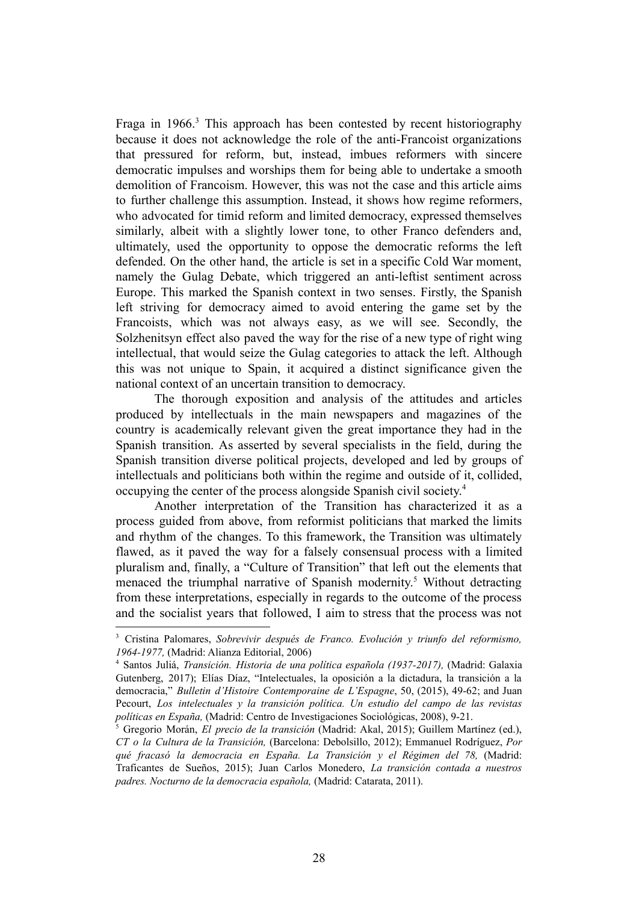Fraga in  $1966$ <sup>3</sup>. This approach has been contested by recent historiography because it does not acknowledge the role of the anti-Francoist organizations that pressured for reform, but, instead, imbues reformers with sincere democratic impulses and worships them for being able to undertake a smooth demolition of Francoism. However, this was not the case and this article aims to further challenge this assumption. Instead, it shows how regime reformers, who advocated for timid reform and limited democracy, expressed themselves similarly, albeit with a slightly lower tone, to other Franco defenders and, ultimately, used the opportunity to oppose the democratic reforms the left defended. On the other hand, the article is set in a specific Cold War moment, namely the Gulag Debate, which triggered an anti-leftist sentiment across Europe. This marked the Spanish context in two senses. Firstly, the Spanish left striving for democracy aimed to avoid entering the game set by the Francoists, which was not always easy, as we will see. Secondly, the Solzhenitsyn effect also paved the way for the rise of a new type of right wing intellectual, that would seize the Gulag categories to attack the left. Although this was not unique to Spain, it acquired a distinct significance given the national context of an uncertain transition to democracy.

The thorough exposition and analysis of the attitudes and articles produced by intellectuals in the main newspapers and magazines of the country is academically relevant given the great importance they had in the Spanish transition. As asserted by several specialists in the field, during the Spanish transition diverse political projects, developed and led by groups of intellectuals and politicians both within the regime and outside of it, collided, occupying the center of the process alongside Spanish civil society.<sup>4</sup>

Another interpretation of the Transition has characterized it as a process guided from above, from reformist politicians that marked the limits and rhythm of the changes. To this framework, the Transition was ultimately flawed, as it paved the way for a falsely consensual process with a limited pluralism and, finally, a "Culture of Transition" that left out the elements that menaced the triumphal narrative of Spanish modernity.<sup>5</sup> Without detracting from these interpretations, especially in regards to the outcome of the process and the socialist years that followed, I aim to stress that the process was not

<sup>3</sup> Cristina Palomares, *Sobrevivir después de Franco. Evolución y triunfo del reformismo, 1964-1977,* (Madrid: Alianza Editorial, 2006)

<sup>4</sup> Santos Juliá, *Transición. Historia de una política española (1937-2017),* (Madrid: Galaxia Gutenberg, 2017); Elías Díaz, "Intelectuales, la oposición a la dictadura, la transición a la democracia," *Bulletin d'Histoire Contemporaine de L'Espagne*, 50, (2015), 49-62; and Juan Pecourt, *Los intelectuales y la transición política. Un estudio del campo de las revistas políticas en España*, (Madrid: Centro de Investigaciones Sociológicas, 2008), 9-21.

<sup>5</sup> Gregorio Morán, *El precio de la transición* (Madrid: Akal, 2015); Guillem Martínez (ed.), *CT o la Cultura de la Transición,* (Barcelona: Debolsillo, 2012); Emmanuel Rodríguez, *Por qué fracasó la democracia en España. La Transición y el Régimen del 78,* (Madrid: Traficantes de Sueños, 2015); Juan Carlos Monedero, *La transición contada a nuestros padres. Nocturno de la democracia española,* (Madrid: Catarata, 2011).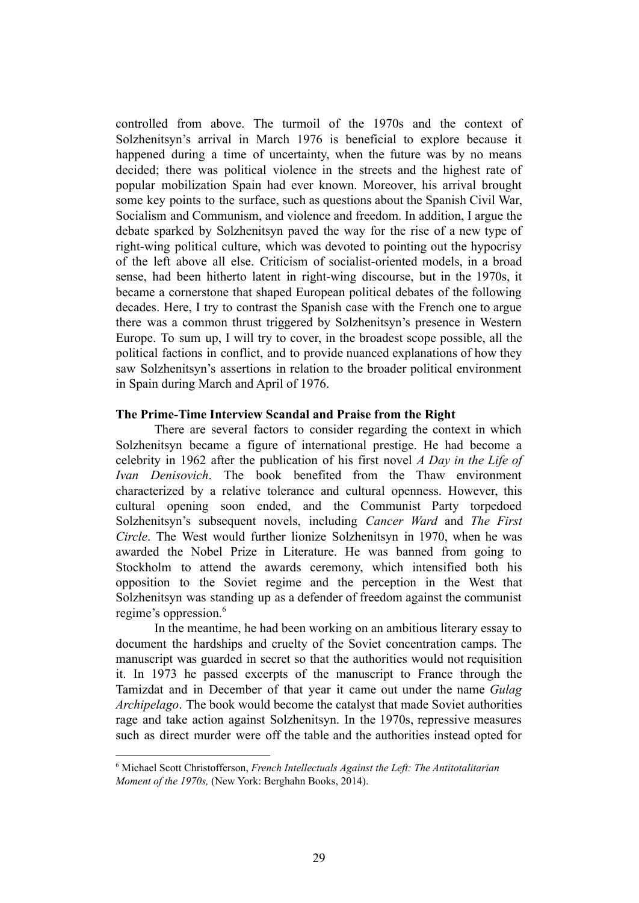controlled from above. The turmoil of the 1970s and the context of Solzhenitsyn's arrival in March 1976 is beneficial to explore because it happened during a time of uncertainty, when the future was by no means decided; there was political violence in the streets and the highest rate of popular mobilization Spain had ever known. Moreover, his arrival brought some key points to the surface, such as questions about the Spanish Civil War, Socialism and Communism, and violence and freedom. In addition, I argue the debate sparked by Solzhenitsyn paved the way for the rise of a new type of right-wing political culture, which was devoted to pointing out the hypocrisy of the left above all else. Criticism of socialist-oriented models, in a broad sense, had been hitherto latent in right-wing discourse, but in the 1970s, it became a cornerstone that shaped European political debates of the following decades. Here, I try to contrast the Spanish case with the French one to argue there was a common thrust triggered by Solzhenitsyn's presence in Western Europe. To sum up, I will try to cover, in the broadest scope possible, all the political factions in conflict, and to provide nuanced explanations of how they saw Solzhenitsyn's assertions in relation to the broader political environment in Spain during March and April of 1976.

#### **The Prime-Time Interview Scandal and Praise from the Right**

There are several factors to consider regarding the context in which Solzhenitsyn became a figure of international prestige. He had become a celebrity in 1962 after the publication of his first novel *A Day in the Life of Ivan Denisovich*. The book benefited from the Thaw environment characterized by a relative tolerance and cultural openness. However, this cultural opening soon ended, and the Communist Party torpedoed Solzhenitsyn's subsequent novels, including *Cancer Ward* and *The First Circle*. The West would further lionize Solzhenitsyn in 1970, when he was awarded the Nobel Prize in Literature. He was banned from going to Stockholm to attend the awards ceremony, which intensified both his opposition to the Soviet regime and the perception in the West that Solzhenitsyn was standing up as a defender of freedom against the communist regime's oppression.<sup>6</sup>

In the meantime, he had been working on an ambitious literary essay to document the hardships and cruelty of the Soviet concentration camps. The manuscript was guarded in secret so that the authorities would not requisition it. In 1973 he passed excerpts of the manuscript to France through the Tamizdat and in December of that year it came out under the name *Gulag Archipelago*. The book would become the catalyst that made Soviet authorities rage and take action against Solzhenitsyn. In the 1970s, repressive measures such as direct murder were off the table and the authorities instead opted for

<sup>6</sup> Michael Scott Christofferson, *French Intellectuals Against the Left: The Antitotalitarian Moment of the 1970s,* (New York: Berghahn Books, 2014).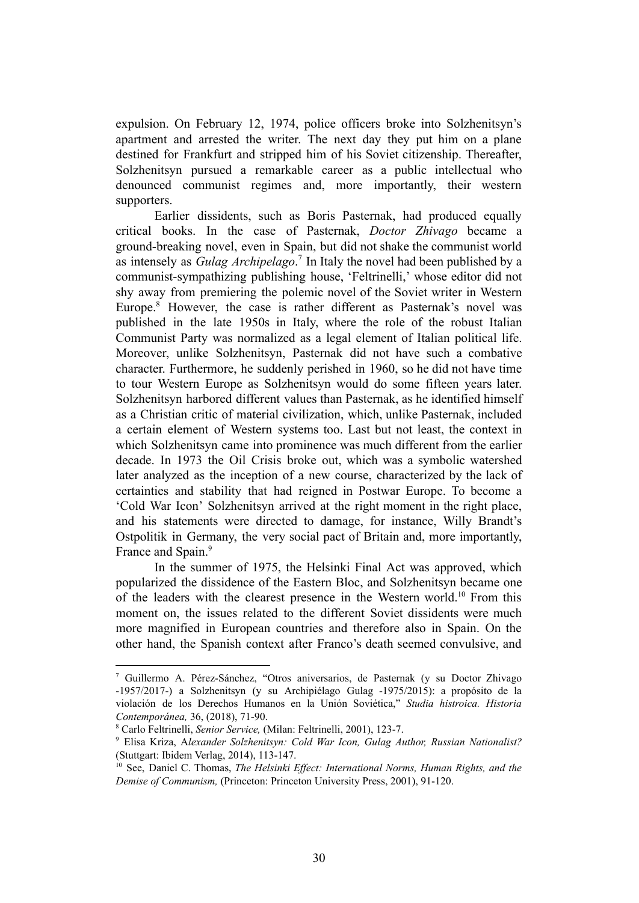expulsion. On February 12, 1974, police officers broke into Solzhenitsyn's apartment and arrested the writer. The next day they put him on a plane destined for Frankfurt and stripped him of his Soviet citizenship. Thereafter, Solzhenitsyn pursued a remarkable career as a public intellectual who denounced communist regimes and, more importantly, their western supporters.

Earlier dissidents, such as Boris Pasternak, had produced equally critical books. In the case of Pasternak, *Doctor Zhivago* became a ground-breaking novel, even in Spain, but did not shake the communist world as intensely as *Gulag Archipelago*.<sup>7</sup> In Italy the novel had been published by a communist-sympathizing publishing house, 'Feltrinelli,' whose editor did not shy away from premiering the polemic novel of the Soviet writer in Western Europe.<sup>8</sup> However, the case is rather different as Pasternak's novel was published in the late 1950s in Italy, where the role of the robust Italian Communist Party was normalized as a legal element of Italian political life. Moreover, unlike Solzhenitsyn, Pasternak did not have such a combative character. Furthermore, he suddenly perished in 1960, so he did not have time to tour Western Europe as Solzhenitsyn would do some fifteen years later. Solzhenitsyn harbored different values than Pasternak, as he identified himself as a Christian critic of material civilization, which, unlike Pasternak, included a certain element of Western systems too. Last but not least, the context in which Solzhenitsyn came into prominence was much different from the earlier decade. In 1973 the Oil Crisis broke out, which was a symbolic watershed later analyzed as the inception of a new course, characterized by the lack of certainties and stability that had reigned in Postwar Europe. To become a 'Cold War Icon' Solzhenitsyn arrived at the right moment in the right place, and his statements were directed to damage, for instance, Willy Brandt's Ostpolitik in Germany, the very social pact of Britain and, more importantly, France and Spain.<sup>9</sup>

In the summer of 1975, the Helsinki Final Act was approved, which popularized the dissidence of the Eastern Bloc, and Solzhenitsyn became one of the leaders with the clearest presence in the Western world.<sup>10</sup> From this moment on, the issues related to the different Soviet dissidents were much more magnified in European countries and therefore also in Spain. On the other hand, the Spanish context after Franco's death seemed convulsive, and

<sup>7</sup> Guillermo A. Pérez-Sánchez, "Otros aniversarios, de Pasternak (y su Doctor Zhivago -1957/2017-) a Solzhenitsyn (y su Archipiélago Gulag -1975/2015): a propósito de la violación de los Derechos Humanos en la Unión Soviética," *Studia histroica. Historia Contemporánea,* 36, (2018), 71-90.

<sup>8</sup> Carlo Feltrinelli, *Senior Service,* (Milan: Feltrinelli, 2001), 123-7.

<sup>9</sup> Elisa Kriza, A*lexander Solzhenitsyn: Cold War Icon, Gulag Author, Russian Nationalist?* (Stuttgart: Ibidem Verlag, 2014), 113-147.

<sup>10</sup> See, Daniel C. Thomas, *The Helsinki Ef ect: International Norms, Human Rights, and the Demise of Communism,* (Princeton: Princeton University Press, 2001), 91-120.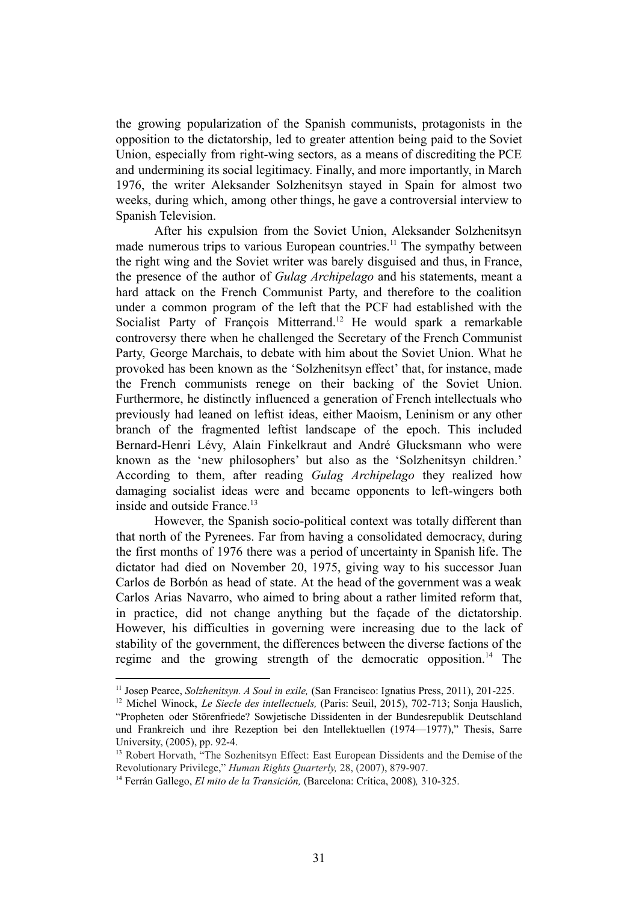the growing popularization of the Spanish communists, protagonists in the opposition to the dictatorship, led to greater attention being paid to the Soviet Union, especially from right-wing sectors, as a means of discrediting the PCE and undermining its social legitimacy. Finally, and more importantly, in March 1976, the writer Aleksander Solzhenitsyn stayed in Spain for almost two weeks, during which, among other things, he gave a controversial interview to Spanish Television.

After his expulsion from the Soviet Union, Aleksander Solzhenitsyn made numerous trips to various European countries.<sup>11</sup> The sympathy between the right wing and the Soviet writer was barely disguised and thus, in France, the presence of the author of *Gulag Archipelago* and his statements, meant a hard attack on the French Communist Party, and therefore to the coalition under a common program of the left that the PCF had established with the Socialist Party of François Mitterrand.<sup>12</sup> He would spark a remarkable controversy there when he challenged the Secretary of the French Communist Party, George Marchais, to debate with him about the Soviet Union. What he provoked has been known as the 'Solzhenitsyn effect' that, for instance, made the French communists renege on their backing of the Soviet Union. Furthermore, he distinctly influenced a generation of French intellectuals who previously had leaned on leftist ideas, either Maoism, Leninism or any other branch of the fragmented leftist landscape of the epoch. This included Bernard-Henri Lévy, Alain Finkelkraut and André Glucksmann who were known as the 'new philosophers' but also as the 'Solzhenitsyn children.' According to them, after reading *Gulag Archipelago* they realized how damaging socialist ideas were and became opponents to left-wingers both inside and outside France.<sup>13</sup>

However, the Spanish socio-political context was totally different than that north of the Pyrenees. Far from having a consolidated democracy, during the first months of 1976 there was a period of uncertainty in Spanish life. The dictator had died on November 20, 1975, giving way to his successor Juan Carlos de Borbón as head of state. At the head of the government was a weak Carlos Arias Navarro, who aimed to bring about a rather limited reform that, in practice, did not change anything but the façade of the dictatorship. However, his difficulties in governing were increasing due to the lack of stability of the government, the differences between the diverse factions of the regime and the growing strength of the democratic opposition.<sup>14</sup> The

<sup>11</sup> Josep Pearce, *Solzhenitsyn. A Soul in exile,* (San Francisco: Ignatius Press, 2011), 201-225.

<sup>12</sup> Michel Winock, *Le Siecle des intellectuels,* (Paris: Seuil, 2015), 702-713; Sonja Hauslich, "Propheten oder Störenfriede? Sowjetische Dissidenten in der Bundesrepublik Deutschland und Frankreich und ihre Rezeption bei den Intellektuellen (1974—1977)," Thesis, Sarre University, (2005), pp. 92-4.

<sup>&</sup>lt;sup>13</sup> Robert Horvath, "The Sozhenitsyn Effect: East European Dissidents and the Demise of the Revolutionary Privilege," *Human Rights Quarterly,* 28, (2007), 879-907.

<sup>14</sup> Ferrán Gallego, *El mito de la Transición,* (Barcelona: Crítica, 2008)*,* 310-325.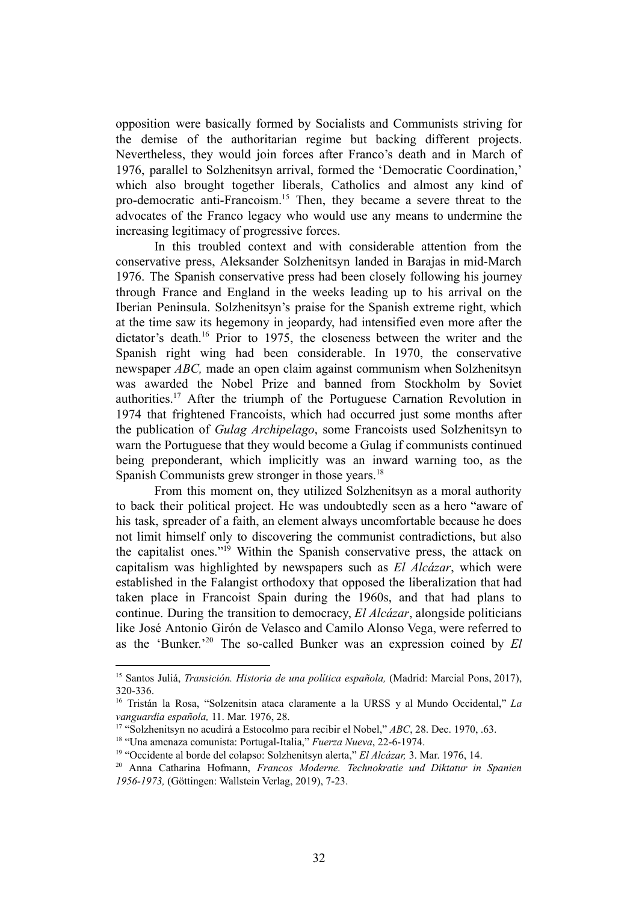opposition were basically formed by Socialists and Communists striving for the demise of the authoritarian regime but backing different projects. Nevertheless, they would join forces after Franco's death and in March of 1976, parallel to Solzhenitsyn arrival, formed the 'Democratic Coordination,' which also brought together liberals, Catholics and almost any kind of pro-democratic anti-Francoism.<sup>15</sup> Then, they became a severe threat to the advocates of the Franco legacy who would use any means to undermine the increasing legitimacy of progressive forces.

In this troubled context and with considerable attention from the conservative press, Aleksander Solzhenitsyn landed in Barajas in mid-March 1976. The Spanish conservative press had been closely following his journey through France and England in the weeks leading up to his arrival on the Iberian Peninsula. Solzhenitsyn's praise for the Spanish extreme right, which at the time saw its hegemony in jeopardy, had intensified even more after the dictator's death.<sup>16</sup> Prior to 1975, the closeness between the writer and the Spanish right wing had been considerable. In 1970, the conservative newspaper *ABC,* made an open claim against communism when Solzhenitsyn was awarded the Nobel Prize and banned from Stockholm by Soviet authorities.<sup>17</sup> After the triumph of the Portuguese Carnation Revolution in 1974 that frightened Francoists, which had occurred just some months after the publication of *Gulag Archipelago*, some Francoists used Solzhenitsyn to warn the Portuguese that they would become a Gulag if communists continued being preponderant, which implicitly was an inward warning too, as the Spanish Communists grew stronger in those years.<sup>18</sup>

From this moment on, they utilized Solzhenitsyn as a moral authority to back their political project. He was undoubtedly seen as a hero "aware of his task, spreader of a faith, an element always uncomfortable because he does not limit himself only to discovering the communist contradictions, but also the capitalist ones."<sup>19</sup> Within the Spanish conservative press, the attack on capitalism was highlighted by newspapers such as *El Alcázar*, which were established in the Falangist orthodoxy that opposed the liberalization that had taken place in Francoist Spain during the 1960s, and that had plans to continue. During the transition to democracy, *El Alcázar*, alongside politicians like José Antonio Girón de Velasco and Camilo Alonso Vega, were referred to as the 'Bunker.'<sup>20</sup> The so-called Bunker was an expression coined by *El* 

<sup>15</sup> Santos Juliá, *Transición. Historia de una política española,* (Madrid: Marcial Pons, 2017), 320-336.

<sup>16</sup> Tristán la Rosa, "Solzenitsin ataca claramente a la URSS y al Mundo Occidental," *La vanguardia española,* 11. Mar. 1976, 28.

<sup>17</sup> "Solzhenitsyn no acudirá a Estocolmo para recibir el Nobel," *ABC*, 28. Dec. 1970, .63.

<sup>18</sup> "Una amenaza comunista: Portugal-Italia," *Fuerza Nueva*, 22-6-1974.

<sup>19</sup> "Occidente al borde del colapso: Solzhenitsyn alerta," *El Alcázar,* 3. Mar. 1976, 14.

<sup>20</sup> Anna Catharina Hofmann, *Francos Moderne. Technokratie und Diktatur in Spanien 1956-1973,* (Göttingen: Wallstein Verlag, 2019), 7-23.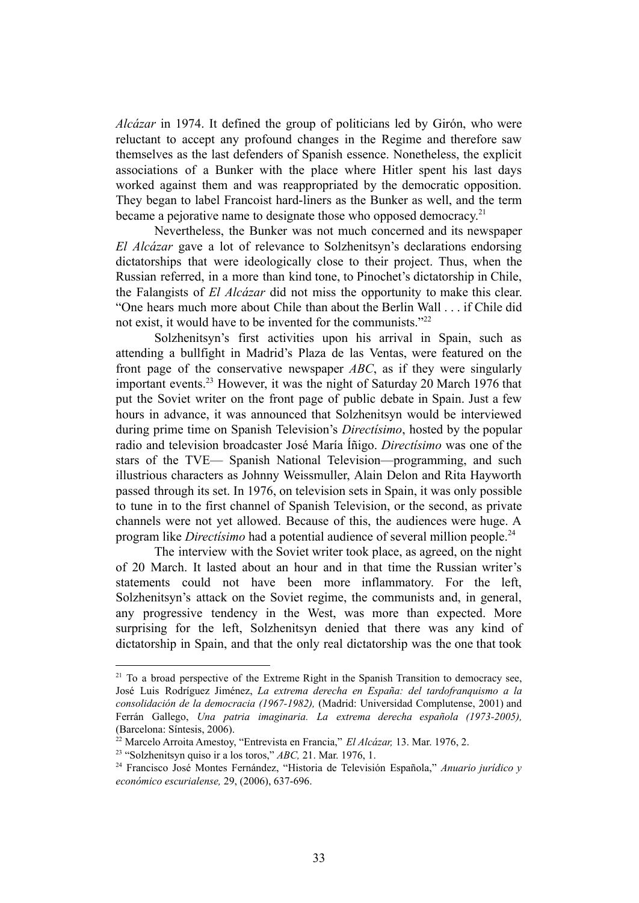*Alcázar* in 1974. It defined the group of politicians led by Girón, who were reluctant to accept any profound changes in the Regime and therefore saw themselves as the last defenders of Spanish essence. Nonetheless, the explicit associations of a Bunker with the place where Hitler spent his last days worked against them and was reappropriated by the democratic opposition. They began to label Francoist hard-liners as the Bunker as well, and the term became a pejorative name to designate those who opposed democracy.<sup>21</sup>

Nevertheless, the Bunker was not much concerned and its newspaper *El Alcázar* gave a lot of relevance to Solzhenitsyn's declarations endorsing dictatorships that were ideologically close to their project. Thus, when the Russian referred, in a more than kind tone, to Pinochet's dictatorship in Chile, the Falangists of *El Alcázar* did not miss the opportunity to make this clear. "One hears much more about Chile than about the Berlin Wall . . . if Chile did not exist, it would have to be invented for the communists."<sup>22</sup>

Solzhenitsyn's first activities upon his arrival in Spain, such as attending a bullfight in Madrid's Plaza de las Ventas, were featured on the front page of the conservative newspaper *ABC*, as if they were singularly important events.<sup>23</sup> However, it was the night of Saturday 20 March 1976 that put the Soviet writer on the front page of public debate in Spain. Just a few hours in advance, it was announced that Solzhenitsyn would be interviewed during prime time on Spanish Television's *Directísimo*, hosted by the popular radio and television broadcaster José María Íñigo. *Directísimo* was one of the stars of the TVE— Spanish National Television—programming, and such illustrious characters as Johnny Weissmuller, Alain Delon and Rita Hayworth passed through its set. In 1976, on television sets in Spain, it was only possible to tune in to the first channel of Spanish Television, or the second, as private channels were not yet allowed. Because of this, the audiences were huge. A program like *Directísimo* had a potential audience of several million people.<sup>24</sup>

The interview with the Soviet writer took place, as agreed, on the night of 20 March. It lasted about an hour and in that time the Russian writer's statements could not have been more inflammatory. For the left, Solzhenitsyn's attack on the Soviet regime, the communists and, in general, any progressive tendency in the West, was more than expected. More surprising for the left, Solzhenitsyn denied that there was any kind of dictatorship in Spain, and that the only real dictatorship was the one that took

 $21$  To a broad perspective of the Extreme Right in the Spanish Transition to democracy see, José Luis Rodríguez Jiménez, *La extrema derecha en España: del tardofranquismo a la consolidación de la democracia (1967-1982),* (Madrid: Universidad Complutense, 2001) and Ferrán Gallego, *Una patria imaginaria. La extrema derecha española (1973-2005),* (Barcelona: Síntesis, 2006).

<sup>22</sup> Marcelo Arroita Amestoy, "Entrevista en Francia," *El Alcázar,* 13. Mar. 1976, 2.

<sup>23</sup> "Solzhenitsyn quiso ir a los toros," *ABC,* 21. Mar. 1976, 1.

<sup>24</sup> Francisco José Montes Fernández, "Historia de Televisión Española," *Anuario jurídico y económico escurialense,* 29, (2006), 637-696.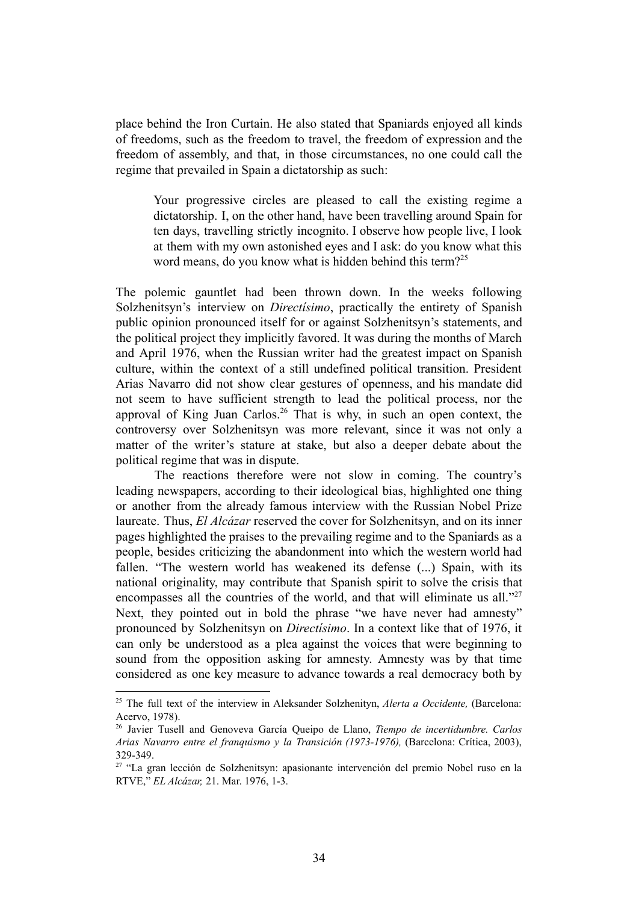place behind the Iron Curtain. He also stated that Spaniards enjoyed all kinds of freedoms, such as the freedom to travel, the freedom of expression and the freedom of assembly, and that, in those circumstances, no one could call the regime that prevailed in Spain a dictatorship as such:

Your progressive circles are pleased to call the existing regime a dictatorship. I, on the other hand, have been travelling around Spain for ten days, travelling strictly incognito. I observe how people live, I look at them with my own astonished eyes and I ask: do you know what this word means, do you know what is hidden behind this term?<sup>25</sup>

The polemic gauntlet had been thrown down. In the weeks following Solzhenitsyn's interview on *Directísimo*, practically the entirety of Spanish public opinion pronounced itself for or against Solzhenitsyn's statements, and the political project they implicitly favored. It was during the months of March and April 1976, when the Russian writer had the greatest impact on Spanish culture, within the context of a still undefined political transition. President Arias Navarro did not show clear gestures of openness, and his mandate did not seem to have sufficient strength to lead the political process, nor the approval of King Juan Carlos.<sup>26</sup> That is why, in such an open context, the controversy over Solzhenitsyn was more relevant, since it was not only a matter of the writer's stature at stake, but also a deeper debate about the political regime that was in dispute.

The reactions therefore were not slow in coming. The country's leading newspapers, according to their ideological bias, highlighted one thing or another from the already famous interview with the Russian Nobel Prize laureate. Thus, *El Alcázar* reserved the cover for Solzhenitsyn, and on its inner pages highlighted the praises to the prevailing regime and to the Spaniards as a people, besides criticizing the abandonment into which the western world had fallen. "The western world has weakened its defense (...) Spain, with its national originality, may contribute that Spanish spirit to solve the crisis that encompasses all the countries of the world, and that will eliminate us all."<sup>27</sup> Next, they pointed out in bold the phrase "we have never had amnesty" pronounced by Solzhenitsyn on *Directísimo*. In a context like that of 1976, it can only be understood as a plea against the voices that were beginning to sound from the opposition asking for amnesty. Amnesty was by that time considered as one key measure to advance towards a real democracy both by

<sup>25</sup> The full text of the interview in Aleksander Solzhenityn, *Alerta a Occidente,* (Barcelona: Acervo, 1978).

<sup>26</sup> Javier Tusell and Genoveva García Queipo de Llano, *Tiempo de incertidumbre. Carlos Arias Navarro entre el franquismo y la Transición (1973-1976),* (Barcelona: Crítica, 2003), 329-349.

<sup>27</sup> "La gran lección de Solzhenitsyn: apasionante intervención del premio Nobel ruso en la RTVE," *EL Alcázar,* 21. Mar. 1976, 1-3.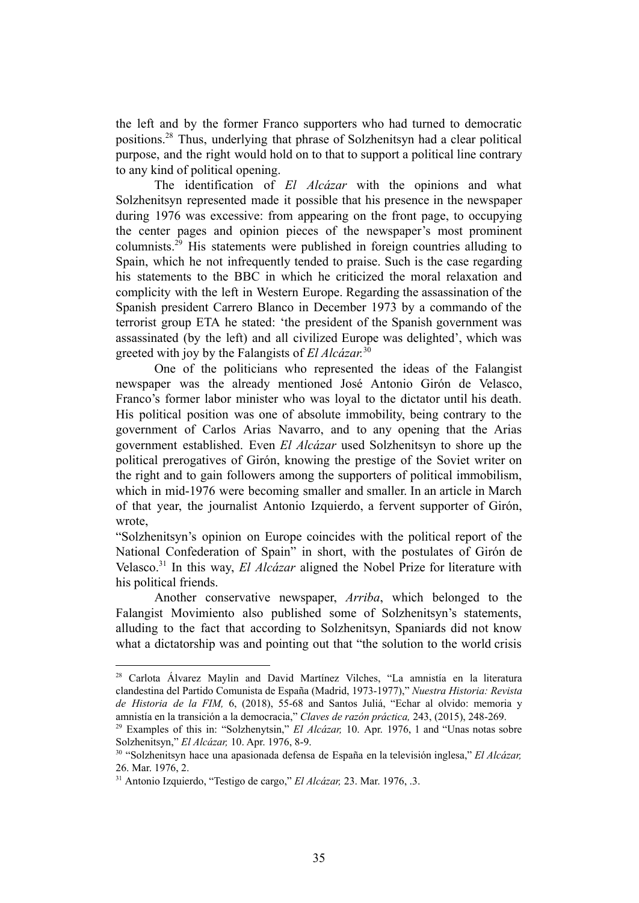the left and by the former Franco supporters who had turned to democratic positions.<sup>28</sup> Thus, underlying that phrase of Solzhenitsyn had a clear political purpose, and the right would hold on to that to support a political line contrary to any kind of political opening.

The identification of *El Alcázar* with the opinions and what Solzhenitsyn represented made it possible that his presence in the newspaper during 1976 was excessive: from appearing on the front page, to occupying the center pages and opinion pieces of the newspaper's most prominent columnists.<sup>29</sup> His statements were published in foreign countries alluding to Spain, which he not infrequently tended to praise. Such is the case regarding his statements to the BBC in which he criticized the moral relaxation and complicity with the left in Western Europe. Regarding the assassination of the Spanish president Carrero Blanco in December 1973 by a commando of the terrorist group ETA he stated: 'the president of the Spanish government was assassinated (by the left) and all civilized Europe was delighted', which was greeted with joy by the Falangists of *El Alcázar.* 30

One of the politicians who represented the ideas of the Falangist newspaper was the already mentioned José Antonio Girón de Velasco, Franco's former labor minister who was loyal to the dictator until his death. His political position was one of absolute immobility, being contrary to the government of Carlos Arias Navarro, and to any opening that the Arias government established. Even *El Alcázar* used Solzhenitsyn to shore up the political prerogatives of Girón, knowing the prestige of the Soviet writer on the right and to gain followers among the supporters of political immobilism, which in mid-1976 were becoming smaller and smaller. In an article in March of that year, the journalist Antonio Izquierdo, a fervent supporter of Girón, wrote,

"Solzhenitsyn's opinion on Europe coincides with the political report of the National Confederation of Spain" in short, with the postulates of Girón de Velasco.<sup>31</sup> In this way, *El Alcázar* aligned the Nobel Prize for literature with his political friends.

Another conservative newspaper, *Arriba*, which belonged to the Falangist Movimiento also published some of Solzhenitsyn's statements, alluding to the fact that according to Solzhenitsyn, Spaniards did not know what a dictatorship was and pointing out that "the solution to the world crisis

<sup>28</sup> Carlota Álvarez Maylin and David Martínez Vilches, "La amnistía en la literatura clandestina del Partido Comunista de España (Madrid, 1973-1977)," *Nuestra Historia: Revista de Historia de la FIM,* 6, (2018), 55-68 and Santos Juliá, "Echar al olvido: memoria y amnistía en la transición a la democracia," *Claves de razón práctica,* 243, (2015), 248-269.

<sup>29</sup> Examples of this in: "Solzhenytsin," *El Alcázar,* 10. Apr. 1976, 1 and "Unas notas sobre Solzhenitsyn," *El Alcázar,* 10. Apr. 1976, 8-9.

<sup>30</sup> "Solzhenitsyn hace una apasionada defensa de España en la televisión inglesa," *El Alcázar,* 26. Mar. 1976, 2.

<sup>31</sup> Antonio Izquierdo, "Testigo de cargo," *El Alcázar,* 23. Mar. 1976, .3.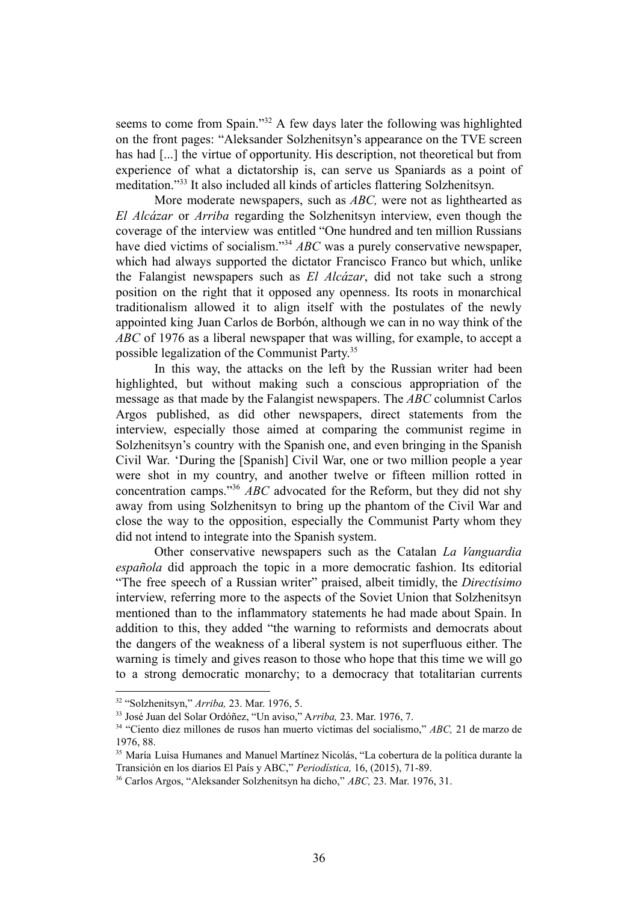seems to come from Spain."<sup>32</sup> A few days later the following was highlighted on the front pages: "Aleksander Solzhenitsyn's appearance on the TVE screen has had [...] the virtue of opportunity. His description, not theoretical but from experience of what a dictatorship is, can serve us Spaniards as a point of meditation."<sup>33</sup> It also included all kinds of articles flattering Solzhenitsyn.

More moderate newspapers, such as *ABC,* were not as lighthearted as *El Alcázar* or *Arriba* regarding the Solzhenitsyn interview, even though the coverage of the interview was entitled "One hundred and ten million Russians have died victims of socialism."<sup>34</sup> ABC was a purely conservative newspaper, which had always supported the dictator Francisco Franco but which, unlike the Falangist newspapers such as *El Alcázar*, did not take such a strong position on the right that it opposed any openness. Its roots in monarchical traditionalism allowed it to align itself with the postulates of the newly appointed king Juan Carlos de Borbón, although we can in no way think of the *ABC* of 1976 as a liberal newspaper that was willing, for example, to accept a possible legalization of the Communist Party.<sup>35</sup>

In this way, the attacks on the left by the Russian writer had been highlighted, but without making such a conscious appropriation of the message as that made by the Falangist newspapers. The *ABC* columnist Carlos Argos published, as did other newspapers, direct statements from the interview, especially those aimed at comparing the communist regime in Solzhenitsyn's country with the Spanish one, and even bringing in the Spanish Civil War. 'During the [Spanish] Civil War, one or two million people a year were shot in my country, and another twelve or fifteen million rotted in concentration camps."<sup>36</sup>  $\overline{ABC}$  advocated for the Reform, but they did not shy away from using Solzhenitsyn to bring up the phantom of the Civil War and close the way to the opposition, especially the Communist Party whom they did not intend to integrate into the Spanish system.

Other conservative newspapers such as the Catalan *La Vanguardia española* did approach the topic in a more democratic fashion. Its editorial "The free speech of a Russian writer" praised, albeit timidly, the *Directísimo* interview, referring more to the aspects of the Soviet Union that Solzhenitsyn mentioned than to the inflammatory statements he had made about Spain. In addition to this, they added "the warning to reformists and democrats about the dangers of the weakness of a liberal system is not superfluous either. The warning is timely and gives reason to those who hope that this time we will go to a strong democratic monarchy; to a democracy that totalitarian currents

<sup>32</sup> "Solzhenitsyn," *Arriba,* 23. Mar. 1976, 5.

<sup>33</sup> José Juan del Solar Ordóñez, "Un aviso," A*rriba,* 23. Mar. 1976, 7.

<sup>34</sup> "Ciento diez millones de rusos han muerto víctimas del socialismo," *ABC,* 21 de marzo de 1976, 88.

<sup>35</sup> María Luisa Humanes and Manuel Martínez Nicolás, "La cobertura de la política durante la Transición en los diarios El País y ABC," *Periodística,* 16, (2015), 71-89.

<sup>36</sup> Carlos Argos, "Aleksander Solzhenitsyn ha dicho," *ABC,* 23. Mar. 1976, 31.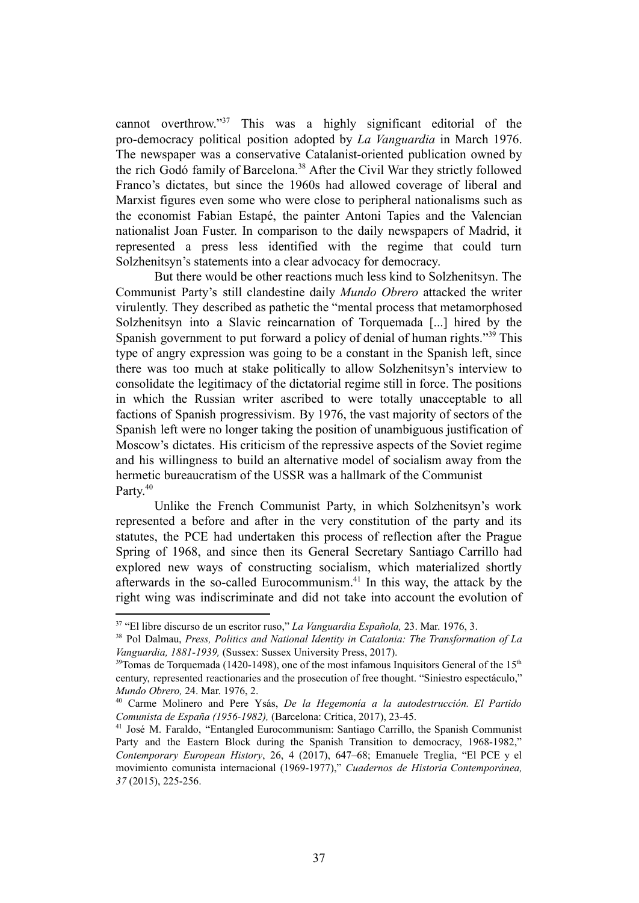cannot overthrow."<sup>37</sup> This was a highly significant editorial of the pro-democracy political position adopted by *La Vanguardia* in March 1976. The newspaper was a conservative Catalanist-oriented publication owned by the rich Godó family of Barcelona.<sup>38</sup> After the Civil War they strictly followed Franco's dictates, but since the 1960s had allowed coverage of liberal and Marxist figures even some who were close to peripheral nationalisms such as the economist Fabian Estapé, the painter Antoni Tapies and the Valencian nationalist Joan Fuster. In comparison to the daily newspapers of Madrid, it represented a press less identified with the regime that could turn Solzhenitsyn's statements into a clear advocacy for democracy.

But there would be other reactions much less kind to Solzhenitsyn. The Communist Party's still clandestine daily *Mundo Obrero* attacked the writer virulently. They described as pathetic the "mental process that metamorphosed Solzhenitsyn into a Slavic reincarnation of Torquemada [...] hired by the Spanish government to put forward a policy of denial of human rights."<sup>39</sup> This type of angry expression was going to be a constant in the Spanish left, since there was too much at stake politically to allow Solzhenitsyn's interview to consolidate the legitimacy of the dictatorial regime still in force. The positions in which the Russian writer ascribed to were totally unacceptable to all factions of Spanish progressivism. By 1976, the vast majority of sectors of the Spanish left were no longer taking the position of unambiguous justification of Moscow's dictates. His criticism of the repressive aspects of the Soviet regime and his willingness to build an alternative model of socialism away from the hermetic bureaucratism of the USSR was a hallmark of the Communist Party.<sup>40</sup>

Unlike the French Communist Party, in which Solzhenitsyn's work represented a before and after in the very constitution of the party and its statutes, the PCE had undertaken this process of reflection after the Prague Spring of 1968, and since then its General Secretary Santiago Carrillo had explored new ways of constructing socialism, which materialized shortly afterwards in the so-called Eurocommunism. $41$  In this way, the attack by the right wing was indiscriminate and did not take into account the evolution of

<sup>37</sup> "El libre discurso de un escritor ruso," *La Vanguardia Española,* 23. Mar. 1976, 3.

<sup>38</sup> Pol Dalmau, *Press, Politics and National Identity in Catalonia: The Transformation of La Vanguardia, 1881-1939,* (Sussex: Sussex University Press, 2017).

 $39$ Tomas de Torquemada (1420-1498), one of the most infamous Inquisitors General of the 15<sup>th</sup> century, represented reactionaries and the prosecution of free thought. "Siniestro espectáculo," *Mundo Obrero,* 24. Mar. 1976, 2.

<sup>40</sup> Carme Molinero and Pere Ysás, *De la Hegemonía a la autodestrucción. El Partido Comunista de España (1956-1982),* (Barcelona: Crítica, 2017), 23-45.

<sup>41</sup> José M. Faraldo, "Entangled Eurocommunism: Santiago Carrillo, the Spanish Communist Party and the Eastern Block during the Spanish Transition to democracy, 1968-1982," *Contemporary European History*, 26, 4 (2017), 647–68; Emanuele Treglia, "El PCE y el movimiento comunista internacional (1969-1977)," *Cuadernos de Historia Contemporánea, 37* (2015), 225-256.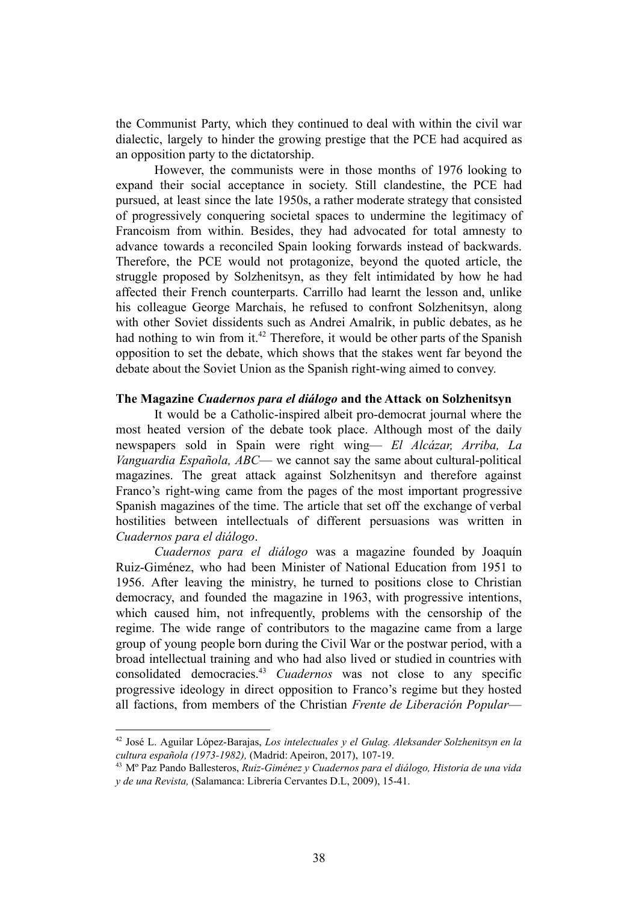the Communist Party, which they continued to deal with within the civil war dialectic, largely to hinder the growing prestige that the PCE had acquired as an opposition party to the dictatorship.

However, the communists were in those months of 1976 looking to expand their social acceptance in society. Still clandestine, the PCE had pursued, at least since the late 1950s, a rather moderate strategy that consisted of progressively conquering societal spaces to undermine the legitimacy of Francoism from within. Besides, they had advocated for total amnesty to advance towards a reconciled Spain looking forwards instead of backwards. Therefore, the PCE would not protagonize, beyond the quoted article, the struggle proposed by Solzhenitsyn, as they felt intimidated by how he had affected their French counterparts. Carrillo had learnt the lesson and, unlike his colleague George Marchais, he refused to confront Solzhenitsyn, along with other Soviet dissidents such as Andrei Amalrik, in public debates, as he had nothing to win from it.<sup>42</sup> Therefore, it would be other parts of the Spanish opposition to set the debate, which shows that the stakes went far beyond the debate about the Soviet Union as the Spanish right-wing aimed to convey.

#### **The Magazine** *Cuadernos para el diálogo* **and the Attack on Solzhenitsyn**

It would be a Catholic-inspired albeit pro-democrat journal where the most heated version of the debate took place. Although most of the daily newspapers sold in Spain were right wing— *El Alcázar, Arriba, La Vanguardia Española, ABC*— we cannot say the same about cultural-political magazines. The great attack against Solzhenitsyn and therefore against Franco's right-wing came from the pages of the most important progressive Spanish magazines of the time. The article that set off the exchange of verbal hostilities between intellectuals of different persuasions was written in *Cuadernos para el diálogo*.

*Cuadernos para el diálogo* was a magazine founded by Joaquín Ruiz-Giménez, who had been Minister of National Education from 1951 to 1956. After leaving the ministry, he turned to positions close to Christian democracy, and founded the magazine in 1963, with progressive intentions, which caused him, not infrequently, problems with the censorship of the regime. The wide range of contributors to the magazine came from a large group of young people born during the Civil War or the postwar period, with a broad intellectual training and who had also lived or studied in countries with consolidated democracies.<sup>43</sup> Cuadernos was not close to any specific progressive ideology in direct opposition to Franco's regime but they hosted all factions, from members of the Christian *Frente de Liberación Popular*—

<sup>42</sup> José L. Aguilar López-Barajas, *Los intelectuales y el Gulag. Aleksander Solzhenitsyn en la cultura española (1973-1982),* (Madrid: Apeiron, 2017), 107-19.

<sup>43</sup> Mº Paz Pando Ballesteros, *Ruiz-Giménez y Cuadernos para el diálogo, Historia de una vida y de una Revista,* (Salamanca: Librería Cervantes D.L, 2009), 15-41.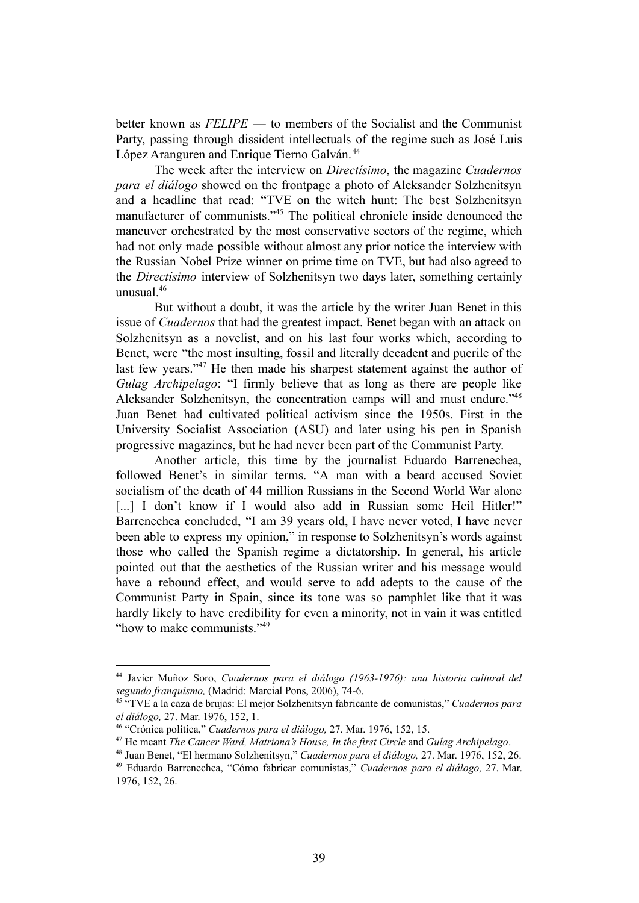better known as *FELIPE* — to members of the Socialist and the Communist Party, passing through dissident intellectuals of the regime such as José Luis López Aranguren and Enrique Tierno Galván. <sup>44</sup>

The week after the interview on *Directísimo*, the magazine *Cuadernos para el diálogo* showed on the frontpage a photo of Aleksander Solzhenitsyn and a headline that read: "TVE on the witch hunt: The best Solzhenitsyn manufacturer of communists."<sup>45</sup> The political chronicle inside denounced the maneuver orchestrated by the most conservative sectors of the regime, which had not only made possible without almost any prior notice the interview with the Russian Nobel Prize winner on prime time on TVE, but had also agreed to the *Directísimo* interview of Solzhenitsyn two days later, something certainly unusual<sup>46</sup>

But without a doubt, it was the article by the writer Juan Benet in this issue of *Cuadernos* that had the greatest impact. Benet began with an attack on Solzhenitsyn as a novelist, and on his last four works which, according to Benet, were "the most insulting, fossil and literally decadent and puerile of the last few years." $47$  He then made his sharpest statement against the author of *Gulag Archipelago*: "I firmly believe that as long as there are people like Aleksander Solzhenitsyn, the concentration camps will and must endure."<sup>48</sup> Juan Benet had cultivated political activism since the 1950s. First in the University Socialist Association (ASU) and later using his pen in Spanish progressive magazines, but he had never been part of the Communist Party.

Another article, this time by the journalist Eduardo Barrenechea, followed Benet's in similar terms. "A man with a beard accused Soviet socialism of the death of 44 million Russians in the Second World War alone [...] I don't know if I would also add in Russian some Heil Hitler!" Barrenechea concluded, "I am 39 years old, I have never voted, I have never been able to express my opinion," in response to Solzhenitsyn's words against those who called the Spanish regime a dictatorship. In general, his article pointed out that the aesthetics of the Russian writer and his message would have a rebound effect, and would serve to add adepts to the cause of the Communist Party in Spain, since its tone was so pamphlet like that it was hardly likely to have credibility for even a minority, not in vain it was entitled "how to make communists."<sup>49</sup>

<sup>44</sup> Javier Muñoz Soro, *Cuadernos para el diálogo (1963-1976): una historia cultural del segundo franquismo,* (Madrid: Marcial Pons, 2006), 74-6.

<sup>45</sup> "TVE a la caza de brujas: El mejor Solzhenitsyn fabricante de comunistas," *Cuadernos para el diálogo,* 27. Mar. 1976, 152, 1.

<sup>46</sup> "Crónica política," *Cuadernos para el diálogo,* 27. Mar. 1976, 152, 15.

<sup>47</sup> He meant *The Cancer Ward, Matriona's House, In the first Circle* and *Gulag Archipelago*.

<sup>48</sup> Juan Benet, "El hermano Solzhenitsyn," *Cuadernos para el diálogo,* 27. Mar. 1976, 152, 26.

<sup>49</sup> Eduardo Barrenechea, "Cómo fabricar comunistas," *Cuadernos para el diálogo,* 27. Mar. 1976, 152, 26.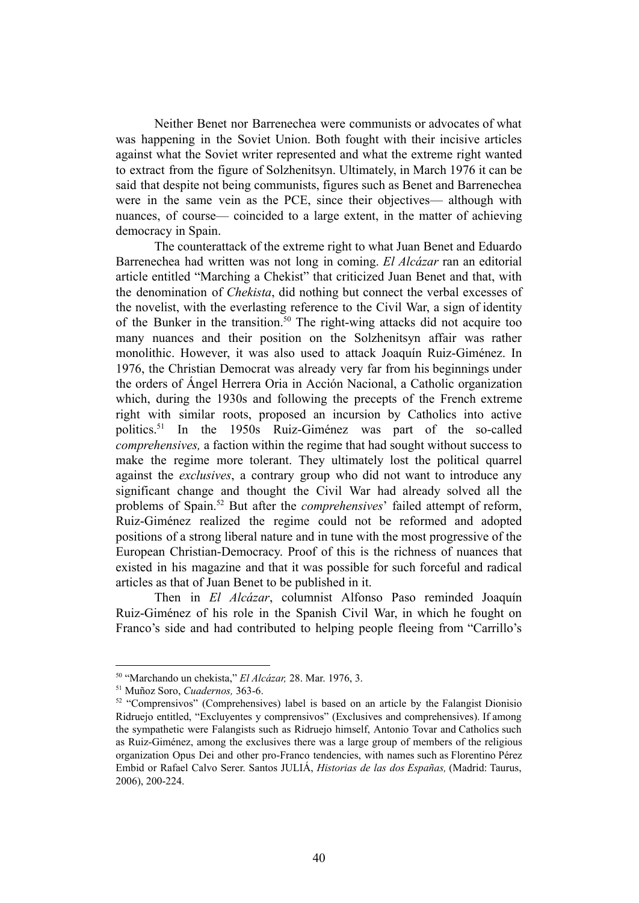Neither Benet nor Barrenechea were communists or advocates of what was happening in the Soviet Union. Both fought with their incisive articles against what the Soviet writer represented and what the extreme right wanted to extract from the figure of Solzhenitsyn. Ultimately, in March 1976 it can be said that despite not being communists, figures such as Benet and Barrenechea were in the same vein as the PCE, since their objectives— although with nuances, of course— coincided to a large extent, in the matter of achieving democracy in Spain.

The counterattack of the extreme right to what Juan Benet and Eduardo Barrenechea had written was not long in coming. *El Alcázar* ran an editorial article entitled "Marching a Chekist" that criticized Juan Benet and that, with the denomination of *Chekista*, did nothing but connect the verbal excesses of the novelist, with the everlasting reference to the Civil War, a sign of identity of the Bunker in the transition.<sup>50</sup> The right-wing attacks did not acquire too many nuances and their position on the Solzhenitsyn affair was rather monolithic. However, it was also used to attack Joaquín Ruiz-Giménez. In 1976, the Christian Democrat was already very far from his beginnings under the orders of Ángel Herrera Oria in Acción Nacional, a Catholic organization which, during the 1930s and following the precepts of the French extreme right with similar roots, proposed an incursion by Catholics into active politics.<sup>51</sup> In the 1950s Ruiz-Giménez was part of the so-called *comprehensives,* a faction within the regime that had sought without success to make the regime more tolerant. They ultimately lost the political quarrel against the *exclusives*, a contrary group who did not want to introduce any significant change and thought the Civil War had already solved all the problems of Spain.<sup>52</sup> But after the *comprehensives*' failed attempt of reform, Ruiz-Giménez realized the regime could not be reformed and adopted positions of a strong liberal nature and in tune with the most progressive of the European Christian-Democracy. Proof of this is the richness of nuances that existed in his magazine and that it was possible for such forceful and radical articles as that of Juan Benet to be published in it.

Then in *El Alcázar*, columnist Alfonso Paso reminded Joaquín Ruiz-Giménez of his role in the Spanish Civil War, in which he fought on Franco's side and had contributed to helping people fleeing from "Carrillo's

<sup>50</sup> "Marchando un chekista," *El Alcázar,* 28. Mar. 1976, 3.

<sup>51</sup> Muñoz Soro, *Cuadernos,* 363-6.

<sup>&</sup>lt;sup>52</sup> "Comprensivos" (Comprehensives) label is based on an article by the Falangist Dionisio Ridruejo entitled, "Excluyentes y comprensivos" (Exclusives and comprehensives). If among the sympathetic were Falangists such as Ridruejo himself, Antonio Tovar and Catholics such as Ruiz-Giménez, among the exclusives there was a large group of members of the religious organization Opus Dei and other pro-Franco tendencies, with names such as Florentino Pérez Embid or Rafael Calvo Serer. Santos JULIÁ, *Historias de las dos Españas,* (Madrid: Taurus, 2006), 200-224.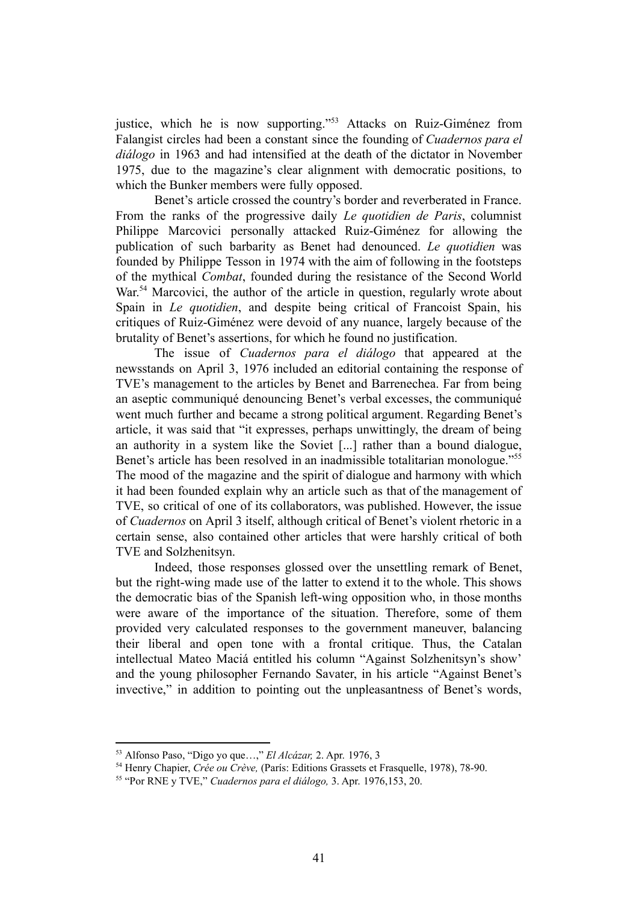justice, which he is now supporting."<sup>53</sup> Attacks on Ruiz-Giménez from Falangist circles had been a constant since the founding of *Cuadernos para el diálogo* in 1963 and had intensified at the death of the dictator in November 1975, due to the magazine's clear alignment with democratic positions, to which the Bunker members were fully opposed.

Benet's article crossed the country's border and reverberated in France. From the ranks of the progressive daily *Le quotidien de Paris*, columnist Philippe Marcovici personally attacked Ruiz-Giménez for allowing the publication of such barbarity as Benet had denounced. *Le quotidien* was founded by Philippe Tesson in 1974 with the aim of following in the footsteps of the mythical *Combat*, founded during the resistance of the Second World War.<sup>54</sup> Marcovici, the author of the article in question, regularly wrote about Spain in *Le quotidien*, and despite being critical of Francoist Spain, his critiques of Ruiz-Giménez were devoid of any nuance, largely because of the brutality of Benet's assertions, for which he found no justification.

The issue of *Cuadernos para el diálogo* that appeared at the newsstands on April 3, 1976 included an editorial containing the response of TVE's management to the articles by Benet and Barrenechea. Far from being an aseptic communiqué denouncing Benet's verbal excesses, the communiqué went much further and became a strong political argument. Regarding Benet's article, it was said that "it expresses, perhaps unwittingly, the dream of being an authority in a system like the Soviet [...] rather than a bound dialogue, Benet's article has been resolved in an inadmissible totalitarian monologue."<sup>55</sup> The mood of the magazine and the spirit of dialogue and harmony with which it had been founded explain why an article such as that of the management of TVE, so critical of one of its collaborators, was published. However, the issue of *Cuadernos* on April 3 itself, although critical of Benet's violent rhetoric in a certain sense, also contained other articles that were harshly critical of both TVE and Solzhenitsyn.

Indeed, those responses glossed over the unsettling remark of Benet, but the right-wing made use of the latter to extend it to the whole. This shows the democratic bias of the Spanish left-wing opposition who, in those months were aware of the importance of the situation. Therefore, some of them provided very calculated responses to the government maneuver, balancing their liberal and open tone with a frontal critique. Thus, the Catalan intellectual Mateo Maciá entitled his column "Against Solzhenitsyn's show' and the young philosopher Fernando Savater, in his article "Against Benet's invective," in addition to pointing out the unpleasantness of Benet's words,

<sup>53</sup> Alfonso Paso, "Digo yo que…," *El Alcázar,* 2. Apr. 1976, 3

<sup>54</sup> Henry Chapier, *Crée ou Crève,* (París: Editions Grassets et Frasquelle, 1978), 78-90.

<sup>55</sup> "Por RNE y TVE," *Cuadernos para el diálogo,* 3. Apr. 1976,153, 20.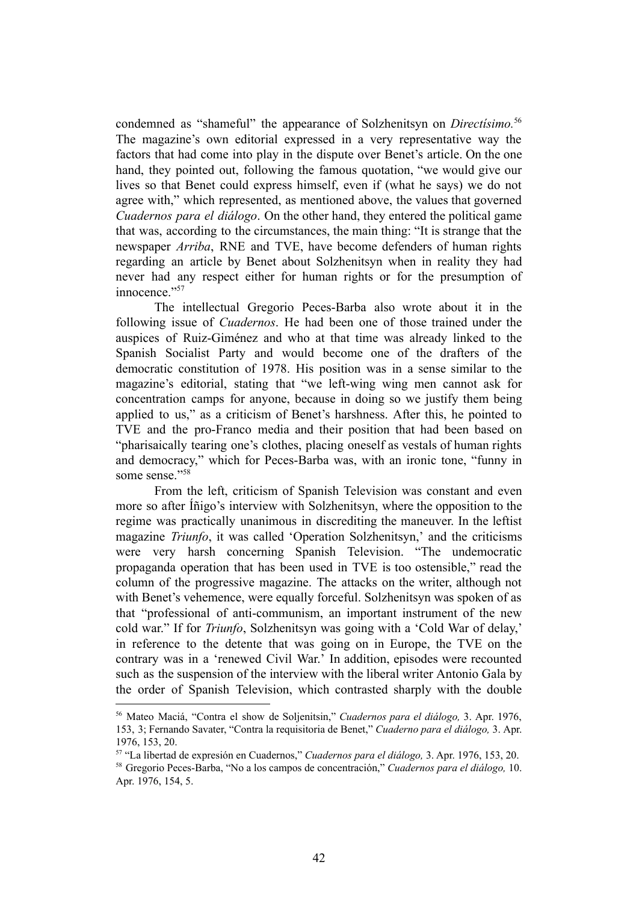condemned as "shameful" the appearance of Solzhenitsyn on *Directísimo.*<sup>56</sup> The magazine's own editorial expressed in a very representative way the factors that had come into play in the dispute over Benet's article. On the one hand, they pointed out, following the famous quotation, "we would give our lives so that Benet could express himself, even if (what he says) we do not agree with," which represented, as mentioned above, the values that governed *Cuadernos para el diálogo*. On the other hand, they entered the political game that was, according to the circumstances, the main thing: "It is strange that the newspaper *Arriba*, RNE and TVE, have become defenders of human rights regarding an article by Benet about Solzhenitsyn when in reality they had never had any respect either for human rights or for the presumption of innocence."57

The intellectual Gregorio Peces-Barba also wrote about it in the following issue of *Cuadernos*. He had been one of those trained under the auspices of Ruiz-Giménez and who at that time was already linked to the Spanish Socialist Party and would become one of the drafters of the democratic constitution of 1978. His position was in a sense similar to the magazine's editorial, stating that "we left-wing wing men cannot ask for concentration camps for anyone, because in doing so we justify them being applied to us," as a criticism of Benet's harshness. After this, he pointed to TVE and the pro-Franco media and their position that had been based on "pharisaically tearing one's clothes, placing oneself as vestals of human rights and democracy," which for Peces-Barba was, with an ironic tone, "funny in some sense."<sup>58</sup>

From the left, criticism of Spanish Television was constant and even more so after Íñigo's interview with Solzhenitsyn, where the opposition to the regime was practically unanimous in discrediting the maneuver. In the leftist magazine *Triunfo*, it was called 'Operation Solzhenitsyn,' and the criticisms were very harsh concerning Spanish Television. "The undemocratic propaganda operation that has been used in TVE is too ostensible," read the column of the progressive magazine. The attacks on the writer, although not with Benet's vehemence, were equally forceful. Solzhenitsyn was spoken of as that "professional of anti-communism, an important instrument of the new cold war." If for *Triunfo*, Solzhenitsyn was going with a 'Cold War of delay,' in reference to the detente that was going on in Europe, the TVE on the contrary was in a 'renewed Civil War.' In addition, episodes were recounted such as the suspension of the interview with the liberal writer Antonio Gala by the order of Spanish Television, which contrasted sharply with the double

<sup>56</sup> Mateo Maciá, "Contra el show de Soljenitsin," *Cuadernos para el diálogo,* 3. Apr. 1976, 153, 3; Fernando Savater, "Contra la requisitoria de Benet," *Cuaderno para el diálogo,* 3. Apr. 1976, 153, 20.

<sup>57</sup> "La libertad de expresión en Cuadernos," *Cuadernos para el diálogo,* 3. Apr. 1976, 153, 20.

<sup>58</sup> Gregorio Peces-Barba, "No a los campos de concentración," *Cuadernos para el diálogo,* 10. Apr. 1976, 154, 5.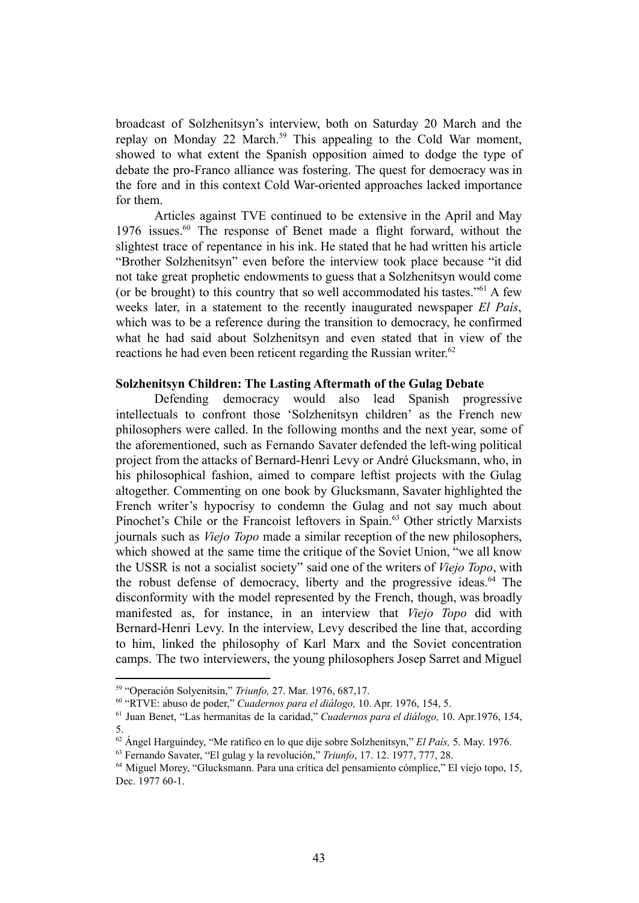broadcast of Solzhenitsyn's interview, both on Saturday 20 March and the replay on Monday 22 March.<sup>59</sup> This appealing to the Cold War moment, showed to what extent the Spanish opposition aimed to dodge the type of debate the pro-Franco alliance was fostering. The quest for democracy was in the fore and in this context Cold War-oriented approaches lacked importance for them.

Articles against TVE continued to be extensive in the April and May 1976 issues. $60$  The response of Benet made a flight forward, without the slightest trace of repentance in his ink. He stated that he had written his article "Brother Solzhenitsyn" even before the interview took place because "it did not take great prophetic endowments to guess that a Solzhenitsyn would come (or be brought) to this country that so well accommodated his tastes."  $61$  A few weeks later, in a statement to the recently inaugurated newspaper *El País*, which was to be a reference during the transition to democracy, he confirmed what he had said about Solzhenitsyn and even stated that in view of the reactions he had even been reticent regarding the Russian writer.<sup>62</sup>

#### **Solzhenitsyn Children: The Lasting Aftermath of the Gulag Debate**

Defending democracy would also lead Spanish progressive intellectuals to confront those 'Solzhenitsyn children' as the French new philosophers were called. In the following months and the next year, some of the aforementioned, such as Fernando Savater defended the left-wing political project from the attacks of Bernard-Henri Levy or André Glucksmann, who, in his philosophical fashion, aimed to compare leftist projects with the Gulag altogether. Commenting on one book by Glucksmann, Savater highlighted the French writer's hypocrisy to condemn the Gulag and not say much about Pinochet's Chile or the Francoist leftovers in Spain.<sup>63</sup> Other strictly Marxists journals such as *Viejo Topo* made a similar reception of the new philosophers, which showed at the same time the critique of the Soviet Union, "we all know the USSR is not a socialist society" said one of the writers of *Viejo Topo*, with the robust defense of democracy, liberty and the progressive ideas. $^{64}$  The disconformity with the model represented by the French, though, was broadly manifested as, for instance, in an interview that *Viejo Topo* did with Bernard-Henri Levy. In the interview, Levy described the line that, according to him, linked the philosophy of Karl Marx and the Soviet concentration camps. The two interviewers, the young philosophers Josep Sarret and Miguel

<sup>59</sup> "Operación Solyenitsin," *Triunfo,* 27. Mar. 1976, 687,17.

<sup>60</sup> "RTVE: abuso de poder," *Cuadernos para el diálogo,* 10. Apr. 1976, 154, 5.

<sup>61</sup> Juan Benet, "Las hermanitas de la caridad," *Cuadernos para el diálogo,* 10. Apr.1976, 1*5*4, 5.

<sup>62</sup> Ángel Harguindey, "Me ratifico en lo que dije sobre Solzhenitsyn," *El País,* 5. May. 1976.

<sup>63</sup> Fernando Savater, "El gulag y la revolución," *Triunfo*, 17. 12. 1977, 777, 28.

<sup>64</sup> Miguel Morey, "Glucksmann. Para una crítica del pensamiento cómplice," El viejo topo, 15, Dec. 1977 60-1.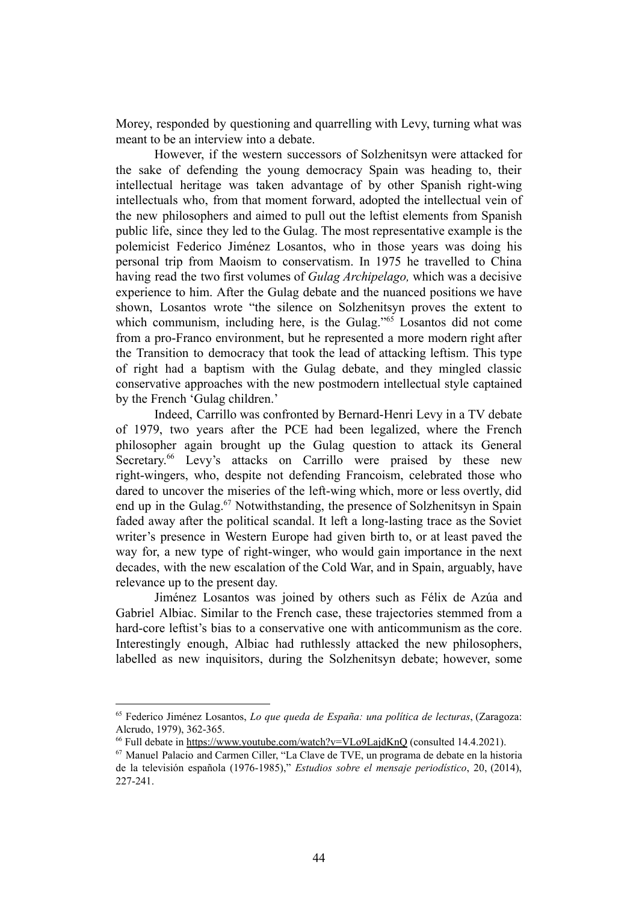Morey, responded by questioning and quarrelling with Levy, turning what was meant to be an interview into a debate.

However, if the western successors of Solzhenitsyn were attacked for the sake of defending the young democracy Spain was heading to, their intellectual heritage was taken advantage of by other Spanish right-wing intellectuals who, from that moment forward, adopted the intellectual vein of the new philosophers and aimed to pull out the leftist elements from Spanish public life, since they led to the Gulag. The most representative example is the polemicist Federico Jiménez Losantos, who in those years was doing his personal trip from Maoism to conservatism. In 1975 he travelled to China having read the two first volumes of *Gulag Archipelago,* which was a decisive experience to him. After the Gulag debate and the nuanced positions we have shown, Losantos wrote "the silence on Solzhenitsyn proves the extent to which communism, including here, is the Gulag." $65$  Losantos did not come from a pro-Franco environment, but he represented a more modern right after the Transition to democracy that took the lead of attacking leftism. This type of right had a baptism with the Gulag debate, and they mingled classic conservative approaches with the new postmodern intellectual style captained by the French 'Gulag children.'

Indeed, Carrillo was confronted by Bernard-Henri Levy in a TV debate of 1979, two years after the PCE had been legalized, where the French philosopher again brought up the Gulag question to attack its General Secretary.<sup>66</sup> Levy's attacks on Carrillo were praised by these new right-wingers, who, despite not defending Francoism, celebrated those who dared to uncover the miseries of the left-wing which, more or less overtly, did end up in the Gulag. $67$  Notwithstanding, the presence of Solzhenitsyn in Spain faded away after the political scandal. It left a long-lasting trace as the Soviet writer's presence in Western Europe had given birth to, or at least paved the way for, a new type of right-winger, who would gain importance in the next decades, with the new escalation of the Cold War, and in Spain, arguably, have relevance up to the present day.

Jiménez Losantos was joined by others such as Félix de Azúa and Gabriel Albiac. Similar to the French case, these trajectories stemmed from a hard-core leftist's bias to a conservative one with anticommunism as the core. Interestingly enough, Albiac had ruthlessly attacked the new philosophers, labelled as new inquisitors, during the Solzhenitsyn debate; however, some

<sup>65</sup> Federico Jiménez Losantos, *Lo que queda de España: una política de lecturas*, (Zaragoza: Alcrudo, 1979), 362-365.

<sup>&</sup>lt;sup>66</sup> Full debate in https://www.youtube.com/watch?v=VLo9LajdKnQ (consulted 14.4.2021).

<sup>67</sup> Manuel Palacio and Carmen Ciller, "La Clave de TVE, un programa de debate en la historia de la televisión española (1976-1985)," *Estudios sobre el mensaje periodístico*, 20, (2014), 227-241.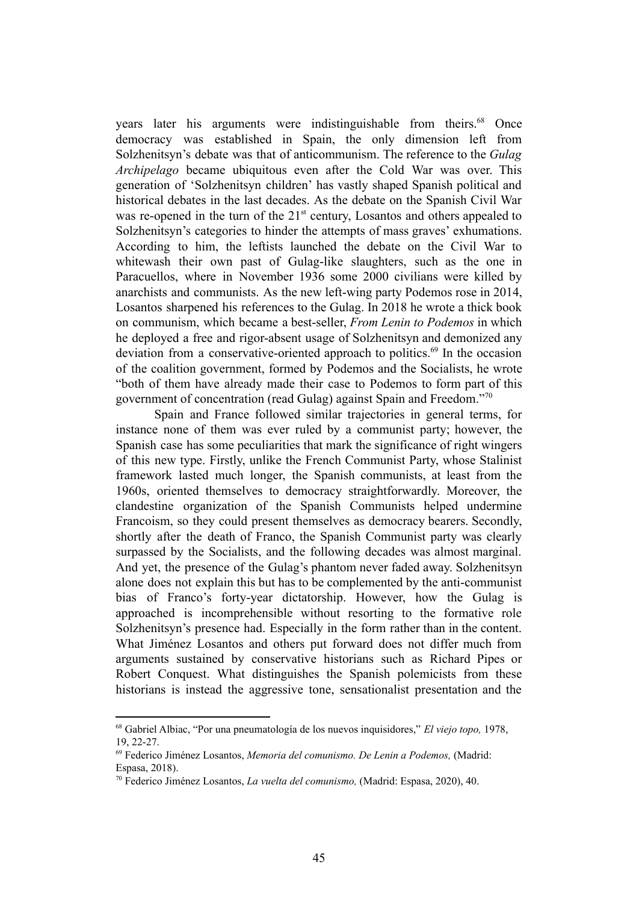years later his arguments were indistinguishable from theirs.<sup>68</sup> Once democracy was established in Spain, the only dimension left from Solzhenitsyn's debate was that of anticommunism. The reference to the *Gulag Archipelago* became ubiquitous even after the Cold War was over. This generation of 'Solzhenitsyn children' has vastly shaped Spanish political and historical debates in the last decades. As the debate on the Spanish Civil War was re-opened in the turn of the 21<sup>st</sup> century, Losantos and others appealed to Solzhenitsyn's categories to hinder the attempts of mass graves' exhumations. According to him, the leftists launched the debate on the Civil War to whitewash their own past of Gulag-like slaughters, such as the one in Paracuellos, where in November 1936 some 2000 civilians were killed by anarchists and communists. As the new left-wing party Podemos rose in 2014, Losantos sharpened his references to the Gulag. In 2018 he wrote a thick book on communism, which became a best-seller, *From Lenin to Podemos* in which he deployed a free and rigor-absent usage of Solzhenitsyn and demonized any deviation from a conservative-oriented approach to politics.<sup> $69$ </sup> In the occasion of the coalition government, formed by Podemos and the Socialists, he wrote "both of them have already made their case to Podemos to form part of this government of concentration (read Gulag) against Spain and Freedom."<sup>70</sup>

Spain and France followed similar trajectories in general terms, for instance none of them was ever ruled by a communist party; however, the Spanish case has some peculiarities that mark the significance of right wingers of this new type. Firstly, unlike the French Communist Party, whose Stalinist framework lasted much longer, the Spanish communists, at least from the 1960s, oriented themselves to democracy straightforwardly. Moreover, the clandestine organization of the Spanish Communists helped undermine Francoism, so they could present themselves as democracy bearers. Secondly, shortly after the death of Franco, the Spanish Communist party was clearly surpassed by the Socialists, and the following decades was almost marginal. And yet, the presence of the Gulag's phantom never faded away. Solzhenitsyn alone does not explain this but has to be complemented by the anti-communist bias of Franco's forty-year dictatorship. However, how the Gulag is approached is incomprehensible without resorting to the formative role Solzhenitsyn's presence had. Especially in the form rather than in the content. What Jiménez Losantos and others put forward does not differ much from arguments sustained by conservative historians such as Richard Pipes or Robert Conquest. What distinguishes the Spanish polemicists from these historians is instead the aggressive tone, sensationalist presentation and the

<sup>68</sup> Gabriel Albiac, "Por una pneumatología de los nuevos inquisidores," *El viejo topo,* 1978, 19, 22-27.

<sup>69</sup> Federico Jiménez Losantos, *Memoria del comunismo. De Lenin a Podemos,* (Madrid: Espasa, 2018).

<sup>70</sup> Federico Jiménez Losantos, *La vuelta del comunismo,* (Madrid: Espasa, 2020), 40.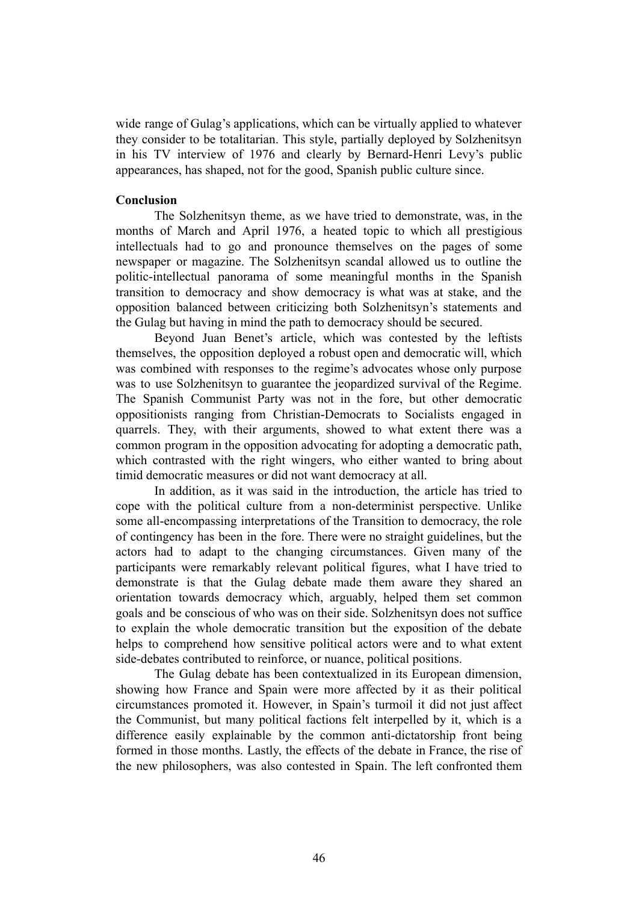wide range of Gulag's applications, which can be virtually applied to whatever they consider to be totalitarian. This style, partially deployed by Solzhenitsyn in his TV interview of 1976 and clearly by Bernard-Henri Levy's public appearances, has shaped, not for the good, Spanish public culture since.

### **Conclusion**

The Solzhenitsyn theme, as we have tried to demonstrate, was, in the months of March and April 1976, a heated topic to which all prestigious intellectuals had to go and pronounce themselves on the pages of some newspaper or magazine. The Solzhenitsyn scandal allowed us to outline the politic-intellectual panorama of some meaningful months in the Spanish transition to democracy and show democracy is what was at stake, and the opposition balanced between criticizing both Solzhenitsyn's statements and the Gulag but having in mind the path to democracy should be secured.

Beyond Juan Benet's article, which was contested by the leftists themselves, the opposition deployed a robust open and democratic will, which was combined with responses to the regime's advocates whose only purpose was to use Solzhenitsyn to guarantee the jeopardized survival of the Regime. The Spanish Communist Party was not in the fore, but other democratic oppositionists ranging from Christian-Democrats to Socialists engaged in quarrels. They, with their arguments, showed to what extent there was a common program in the opposition advocating for adopting a democratic path, which contrasted with the right wingers, who either wanted to bring about timid democratic measures or did not want democracy at all.

In addition, as it was said in the introduction, the article has tried to cope with the political culture from a non-determinist perspective. Unlike some all-encompassing interpretations of the Transition to democracy, the role of contingency has been in the fore. There were no straight guidelines, but the actors had to adapt to the changing circumstances. Given many of the participants were remarkably relevant political figures, what I have tried to demonstrate is that the Gulag debate made them aware they shared an orientation towards democracy which, arguably, helped them set common goals and be conscious of who was on their side. Solzhenitsyn does not suffice to explain the whole democratic transition but the exposition of the debate helps to comprehend how sensitive political actors were and to what extent side-debates contributed to reinforce, or nuance, political positions.

The Gulag debate has been contextualized in its European dimension, showing how France and Spain were more affected by it as their political circumstances promoted it. However, in Spain's turmoil it did not just affect the Communist, but many political factions felt interpelled by it, which is a difference easily explainable by the common anti-dictatorship front being formed in those months. Lastly, the effects of the debate in France, the rise of the new philosophers, was also contested in Spain. The left confronted them